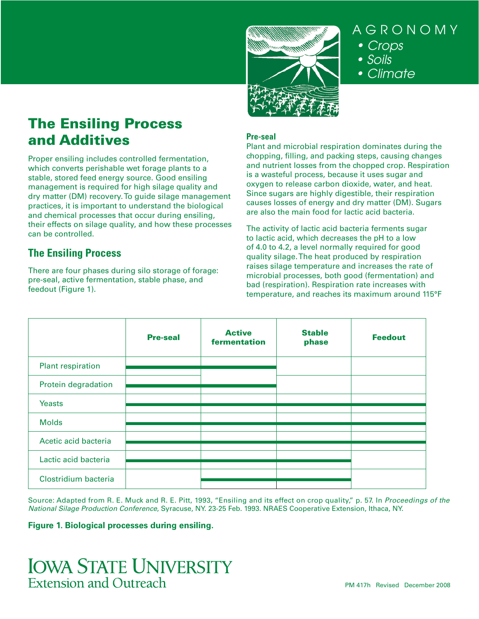

AGRONOMY • Crops • Soils

• Climate

# The Ensiling Process and Additives

Proper ensiling includes controlled fermentation, which converts perishable wet forage plants to a stable, stored feed energy source. Good ensiling management is required for high silage quality and dry matter (DM) recovery. To guide silage management practices, it is important to understand the biological and chemical processes that occur during ensiling, their effects on silage quality, and how these processes can be controlled.

# **The Ensiling Process**

There are four phases during silo storage of forage: pre-seal, active fermentation, stable phase, and feedout (Figure 1).

## **Pre-seal**

Plant and microbial respiration dominates during the chopping, filling, and packing steps, causing changes and nutrient losses from the chopped crop. Respiration is a wasteful process, because it uses sugar and oxygen to release carbon dioxide, water, and heat. Since sugars are highly digestible, their respiration causes losses of energy and dry matter (DM). Sugars are also the main food for lactic acid bacteria.

The activity of lactic acid bacteria ferments sugar to lactic acid, which decreases the pH to a low of 4.0 to 4.2, a level normally required for good quality silage. The heat produced by respiration raises silage temperature and increases the rate of microbial processes, both good (fermentation) and bad (respiration). Respiration rate increases with temperature, and reaches its maximum around 115°F

|                      | <b>Pre-seal</b> | <b>Active</b><br>fermentation | <b>Stable</b><br>phase | <b>Feedout</b> |
|----------------------|-----------------|-------------------------------|------------------------|----------------|
| Plant respiration    |                 |                               |                        |                |
| Protein degradation  |                 |                               |                        |                |
| <b>Yeasts</b>        |                 |                               |                        |                |
| <b>Molds</b>         |                 |                               |                        |                |
| Acetic acid bacteria |                 |                               |                        |                |
| Lactic acid bacteria |                 |                               |                        |                |
| Clostridium bacteria |                 |                               |                        |                |
|                      |                 |                               |                        |                |

Source: Adapted from R. E. Muck and R. E. Pitt, 1993, "Ensiling and its effect on crop quality," p. 57. In *Proceedings of the National Silage Production Conference*, Syracuse, NY. 23-25 Feb. 1993. NRAES Cooperative Extension, Ithaca, NY.

## **Figure 1. Biological processes during ensiling.**

# **IOWA STATE UNIVERSITY Extension and Outreach**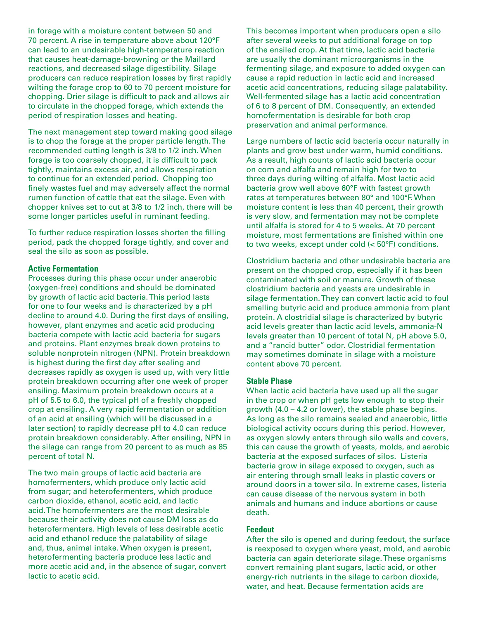in forage with a moisture content between 50 and 70 percent. A rise in temperature above about 120°F can lead to an undesirable high-temperature reaction that causes heat-damage-browning or the Maillard reactions, and decreased silage digestibility. Silage producers can reduce respiration losses by first rapidly wilting the forage crop to 60 to 70 percent moisture for chopping. Drier silage is difficult to pack and allows air to circulate in the chopped forage, which extends the period of respiration losses and heating.

The next management step toward making good silage is to chop the forage at the proper particle length. The recommended cutting length is 3/8 to 1/2 inch. When forage is too coarsely chopped, it is difficult to pack tightly, maintains excess air, and allows respiration to continue for an extended period. Chopping too finely wastes fuel and may adversely affect the normal rumen function of cattle that eat the silage. Even with chopper knives set to cut at 3/8 to 1/2 inch, there will be some longer particles useful in ruminant feeding.

To further reduce respiration losses shorten the filling period, pack the chopped forage tightly, and cover and seal the silo as soon as possible.

## **Active Fermentation**

Processes during this phase occur under anaerobic (oxygen-free) conditions and should be dominated by growth of lactic acid bacteria. This period lasts for one to four weeks and is characterized by a pH decline to around 4.0. During the first days of ensiling, however, plant enzymes and acetic acid producing bacteria compete with lactic acid bacteria for sugars and proteins. Plant enzymes break down proteins to soluble nonprotein nitrogen (NPN). Protein breakdown is highest during the first day after sealing and decreases rapidly as oxygen is used up, with very little protein breakdown occurring after one week of proper ensiling. Maximum protein breakdown occurs at a pH of 5.5 to 6.0, the typical pH of a freshly chopped crop at ensiling. A very rapid fermentation or addition of an acid at ensiling (which will be discussed in a later section) to rapidly decrease pH to 4.0 can reduce protein breakdown considerably. After ensiling, NPN in the silage can range from 20 percent to as much as 85 percent of total N.

The two main groups of lactic acid bacteria are homofermenters, which produce only lactic acid from sugar; and heterofermenters, which produce carbon dioxide, ethanol, acetic acid, and lactic acid. The homofermenters are the most desirable because their activity does not cause DM loss as do heterofermenters. High levels of less desirable acetic acid and ethanol reduce the palatability of silage and, thus, animal intake. When oxygen is present, heterofermenting bacteria produce less lactic and more acetic acid and, in the absence of sugar, convert lactic to acetic acid.

This becomes important when producers open a silo after several weeks to put additional forage on top of the ensiled crop. At that time, lactic acid bacteria are usually the dominant microorganisms in the fermenting silage, and exposure to added oxygen can cause a rapid reduction in lactic acid and increased acetic acid concentrations, reducing silage palatability. Well-fermented silage has a lactic acid concentration of 6 to 8 percent of DM. Consequently, an extended homofermentation is desirable for both crop preservation and animal performance.

Large numbers of lactic acid bacteria occur naturally in plants and grow best under warm, humid conditions. As a result, high counts of lactic acid bacteria occur on corn and alfalfa and remain high for two to three days during wilting of alfalfa. Most lactic acid bacteria grow well above 60°F with fastest growth rates at temperatures between 80° and 100°F. When moisture content is less than 40 percent, their growth is very slow, and fermentation may not be complete until alfalfa is stored for 4 to 5 weeks. At 70 percent moisture, most fermentations are finished within one to two weeks, except under cold (< 50°F) conditions.

Clostridium bacteria and other undesirable bacteria are present on the chopped crop, especially if it has been contaminated with soil or manure. Growth of these clostridium bacteria and yeasts are undesirable in silage fermentation. They can convert lactic acid to foul smelling butyric acid and produce ammonia from plant protein. A clostridial silage is characterized by butyric acid levels greater than lactic acid levels, ammonia-N levels greater than 10 percent of total N, pH above 5.0, and a "rancid butter" odor. Clostridial fermentation may sometimes dominate in silage with a moisture content above 70 percent.

#### **Stable Phase**

When lactic acid bacteria have used up all the sugar in the crop or when pH gets low enough to stop their growth (4.0 – 4.2 or lower), the stable phase begins. As long as the silo remains sealed and anaerobic, little biological activity occurs during this period. However, as oxygen slowly enters through silo walls and covers, this can cause the growth of yeasts, molds, and aerobic bacteria at the exposed surfaces of silos. Listeria bacteria grow in silage exposed to oxygen, such as air entering through small leaks in plastic covers or around doors in a tower silo. In extreme cases, listeria can cause disease of the nervous system in both animals and humans and induce abortions or cause death.

#### **Feedout**

After the silo is opened and during feedout, the surface is reexposed to oxygen where yeast, mold, and aerobic bacteria can again deteriorate silage. These organisms convert remaining plant sugars, lactic acid, or other energy-rich nutrients in the silage to carbon dioxide, water, and heat. Because fermentation acids are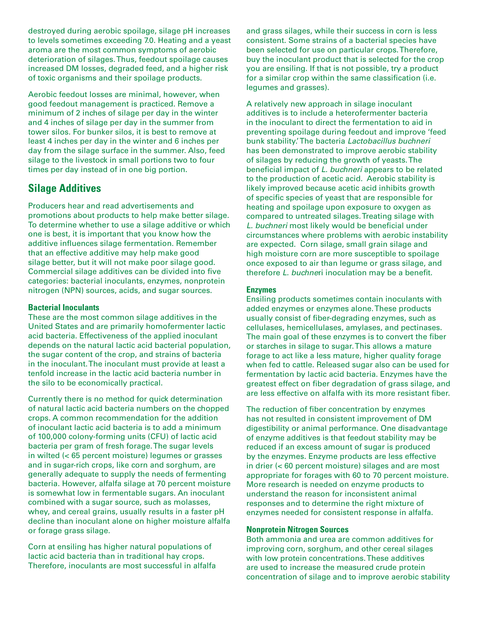destroyed during aerobic spoilage, silage pH increases to levels sometimes exceeding 7.0. Heating and a yeast aroma are the most common symptoms of aerobic deterioration of silages. Thus, feedout spoilage causes increased DM losses, degraded feed, and a higher risk of toxic organisms and their spoilage products.

Aerobic feedout losses are minimal, however, when good feedout management is practiced. Remove a minimum of 2 inches of silage per day in the winter and 4 inches of silage per day in the summer from tower silos. For bunker silos, it is best to remove at least 4 inches per day in the winter and 6 inches per day from the silage surface in the summer. Also, feed silage to the livestock in small portions two to four times per day instead of in one big portion.

## **Silage Additives**

Producers hear and read advertisements and promotions about products to help make better silage. To determine whether to use a silage additive or which one is best, it is important that you know how the additive influences silage fermentation. Remember that an effective additive may help make good silage better, but it will not make poor silage good. Commercial silage additives can be divided into five categories: bacterial inoculants, enzymes, nonprotein nitrogen (NPN) sources, acids, and sugar sources.

## **Bacterial Inoculants**

These are the most common silage additives in the United States and are primarily homofermenter lactic acid bacteria. Effectiveness of the applied inoculant depends on the natural lactic acid bacterial population, the sugar content of the crop, and strains of bacteria in the inoculant. The inoculant must provide at least a tenfold increase in the lactic acid bacteria number in the silo to be economically practical.

Currently there is no method for quick determination of natural lactic acid bacteria numbers on the chopped crops. A common recommendation for the addition of inoculant lactic acid bacteria is to add a minimum of 100,000 colony-forming units (CFU) of lactic acid bacteria per gram of fresh forage. The sugar levels in wilted (< 65 percent moisture) legumes or grasses and in sugar-rich crops, like corn and sorghum, are generally adequate to supply the needs of fermenting bacteria. However, alfalfa silage at 70 percent moisture is somewhat low in fermentable sugars. An inoculant combined with a sugar source, such as molasses, whey, and cereal grains, usually results in a faster pH decline than inoculant alone on higher moisture alfalfa or forage grass silage.

Corn at ensiling has higher natural populations of lactic acid bacteria than in traditional hay crops. Therefore, inoculants are most successful in alfalfa and grass silages, while their success in corn is less consistent. Some strains of a bacterial species have been selected for use on particular crops. Therefore, buy the inoculant product that is selected for the crop you are ensiling. If that is not possible, try a product for a similar crop within the same classification (i.e. legumes and grasses).

A relatively new approach in silage inoculant additives is to include a heterofermenter bacteria in the inoculant to direct the fermentation to aid in preventing spoilage during feedout and improve 'feed bunk stability.' The bacteria *Lactobacillus buchneri* has been demonstrated to improve aerobic stability of silages by reducing the growth of yeasts. The beneficial impact of *L. buchneri* appears to be related to the production of acetic acid. Aerobic stability is likely improved because acetic acid inhibits growth of specific species of yeast that are responsible for heating and spoilage upon exposure to oxygen as compared to untreated silages. Treating silage with *L. buchneri* most likely would be beneficial under circumstances where problems with aerobic instability are expected. Corn silage, small grain silage and high moisture corn are more susceptible to spoilage once exposed to air than legume or grass silage, and therefore *L. buchne*ri inoculation may be a benefit.

## **Enzymes**

Ensiling products sometimes contain inoculants with added enzymes or enzymes alone. These products usually consist of fiber-degrading enzymes, such as cellulases, hemicellulases, amylases, and pectinases. The main goal of these enzymes is to convert the fiber or starches in silage to sugar. This allows a mature forage to act like a less mature, higher quality forage when fed to cattle. Released sugar also can be used for fermentation by lactic acid bacteria. Enzymes have the greatest effect on fiber degradation of grass silage, and are less effective on alfalfa with its more resistant fiber.

The reduction of fiber concentration by enzymes has not resulted in consistent improvement of DM digestibility or animal performance. One disadvantage of enzyme additives is that feedout stability may be reduced if an excess amount of sugar is produced by the enzymes. Enzyme products are less effective in drier (< 60 percent moisture) silages and are most appropriate for forages with 60 to 70 percent moisture. More research is needed on enzyme products to understand the reason for inconsistent animal responses and to determine the right mixture of enzymes needed for consistent response in alfalfa.

## **Nonprotein Nitrogen Sources**

Both ammonia and urea are common additives for improving corn, sorghum, and other cereal silages with low protein concentrations. These additives are used to increase the measured crude protein concentration of silage and to improve aerobic stability